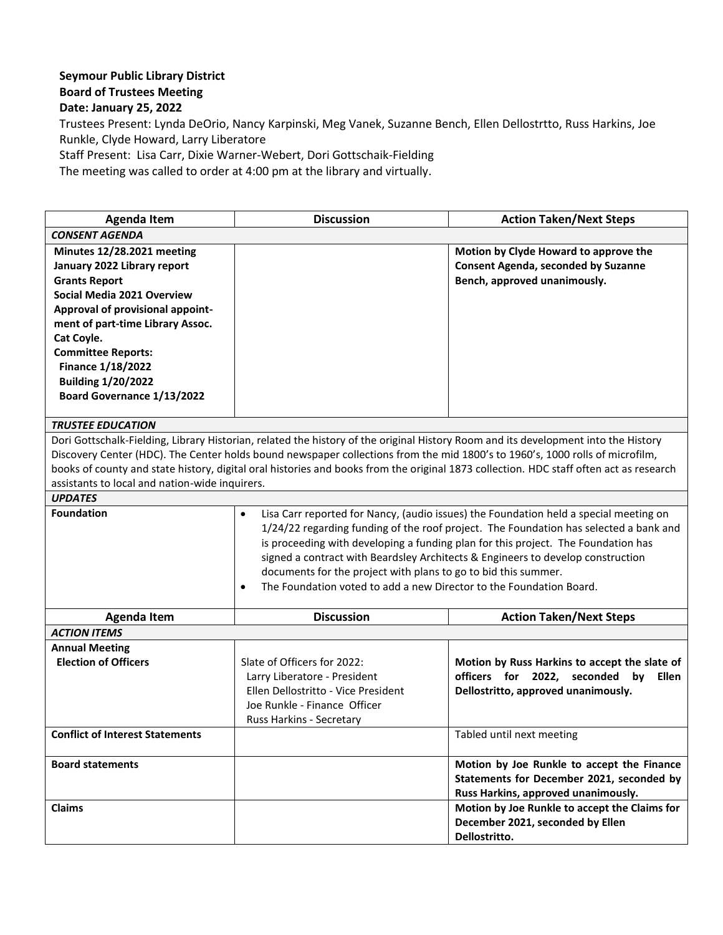## **Seymour Public Library District Board of Trustees Meeting**

**Date: January 25, 2022**

Trustees Present: Lynda DeOrio, Nancy Karpinski, Meg Vanek, Suzanne Bench, Ellen Dellostrtto, Russ Harkins, Joe Runkle, Clyde Howard, Larry Liberatore

Staff Present: Lisa Carr, Dixie Warner-Webert, Dori Gottschaik-Fielding

The meeting was called to order at 4:00 pm at the library and virtually.

| <b>Agenda Item</b>                                                                                                                                                                                                                                                                                                                                                                                                                                             | <b>Discussion</b>                                                                                                                                                                                                                                                                                                                                                                                                                                                                                    | <b>Action Taken/Next Steps</b>                                                                                                     |  |
|----------------------------------------------------------------------------------------------------------------------------------------------------------------------------------------------------------------------------------------------------------------------------------------------------------------------------------------------------------------------------------------------------------------------------------------------------------------|------------------------------------------------------------------------------------------------------------------------------------------------------------------------------------------------------------------------------------------------------------------------------------------------------------------------------------------------------------------------------------------------------------------------------------------------------------------------------------------------------|------------------------------------------------------------------------------------------------------------------------------------|--|
| <b>CONSENT AGENDA</b>                                                                                                                                                                                                                                                                                                                                                                                                                                          |                                                                                                                                                                                                                                                                                                                                                                                                                                                                                                      |                                                                                                                                    |  |
| Minutes 12/28.2021 meeting<br>January 2022 Library report<br><b>Grants Report</b><br>Social Media 2021 Overview<br>Approval of provisional appoint-<br>ment of part-time Library Assoc.<br>Cat Coyle.<br><b>Committee Reports:</b><br><b>Finance 1/18/2022</b><br><b>Building 1/20/2022</b><br>Board Governance 1/13/2022                                                                                                                                      |                                                                                                                                                                                                                                                                                                                                                                                                                                                                                                      | Motion by Clyde Howard to approve the<br><b>Consent Agenda, seconded by Suzanne</b><br>Bench, approved unanimously.                |  |
| <b>TRUSTEE EDUCATION</b>                                                                                                                                                                                                                                                                                                                                                                                                                                       |                                                                                                                                                                                                                                                                                                                                                                                                                                                                                                      |                                                                                                                                    |  |
| Dori Gottschalk-Fielding, Library Historian, related the history of the original History Room and its development into the History<br>Discovery Center (HDC). The Center holds bound newspaper collections from the mid 1800's to 1960's, 1000 rolls of microfilm,<br>books of county and state history, digital oral histories and books from the original 1873 collection. HDC staff often act as research<br>assistants to local and nation-wide inquirers. |                                                                                                                                                                                                                                                                                                                                                                                                                                                                                                      |                                                                                                                                    |  |
| <b>UPDATES</b>                                                                                                                                                                                                                                                                                                                                                                                                                                                 |                                                                                                                                                                                                                                                                                                                                                                                                                                                                                                      |                                                                                                                                    |  |
| <b>Foundation</b>                                                                                                                                                                                                                                                                                                                                                                                                                                              | Lisa Carr reported for Nancy, (audio issues) the Foundation held a special meeting on<br>٠<br>1/24/22 regarding funding of the roof project. The Foundation has selected a bank and<br>is proceeding with developing a funding plan for this project. The Foundation has<br>signed a contract with Beardsley Architects & Engineers to develop construction<br>documents for the project with plans to go to bid this summer.<br>The Foundation voted to add a new Director to the Foundation Board. |                                                                                                                                    |  |
| <b>Agenda Item</b>                                                                                                                                                                                                                                                                                                                                                                                                                                             | <b>Discussion</b>                                                                                                                                                                                                                                                                                                                                                                                                                                                                                    | <b>Action Taken/Next Steps</b>                                                                                                     |  |
| <b>ACTION ITEMS</b>                                                                                                                                                                                                                                                                                                                                                                                                                                            |                                                                                                                                                                                                                                                                                                                                                                                                                                                                                                      |                                                                                                                                    |  |
| <b>Annual Meeting</b><br><b>Election of Officers</b>                                                                                                                                                                                                                                                                                                                                                                                                           | Slate of Officers for 2022:<br>Larry Liberatore - President<br>Ellen Dellostritto - Vice President<br>Joe Runkle - Finance Officer<br>Russ Harkins - Secretary                                                                                                                                                                                                                                                                                                                                       | Motion by Russ Harkins to accept the slate of<br>officers for 2022, seconded<br>by<br>Ellen<br>Dellostritto, approved unanimously. |  |
| <b>Conflict of Interest Statements</b>                                                                                                                                                                                                                                                                                                                                                                                                                         |                                                                                                                                                                                                                                                                                                                                                                                                                                                                                                      | Tabled until next meeting                                                                                                          |  |
| <b>Board statements</b>                                                                                                                                                                                                                                                                                                                                                                                                                                        |                                                                                                                                                                                                                                                                                                                                                                                                                                                                                                      | Motion by Joe Runkle to accept the Finance<br>Statements for December 2021, seconded by<br>Russ Harkins, approved unanimously.     |  |
| Claims                                                                                                                                                                                                                                                                                                                                                                                                                                                         |                                                                                                                                                                                                                                                                                                                                                                                                                                                                                                      | Motion by Joe Runkle to accept the Claims for<br>December 2021, seconded by Ellen<br>Dellostritto.                                 |  |